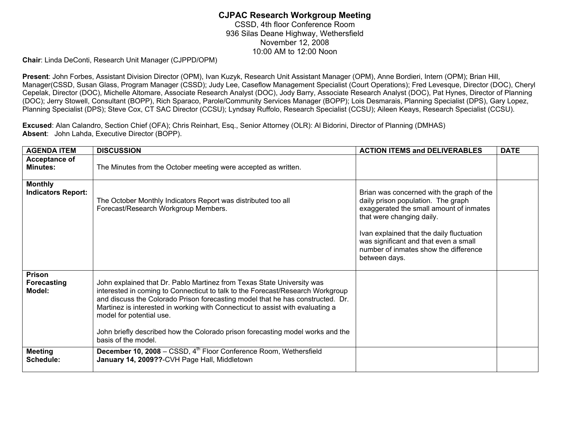## **CJPAC Research Workgroup Meeting**  CSSD, 4th floor Conference Room 936 Silas Deane Highway, Wethersfield November 12, 2008 10:00 AM to 12:00 Noon

**Chair**: Linda DeConti, Research Unit Manager (CJPPD/OPM)

**Present**: John Forbes, Assistant Division Director (OPM), Ivan Kuzyk, Research Unit Assistant Manager (OPM), Anne Bordieri, Intern (OPM); Brian Hill, Manager(CSSD, Susan Glass, Program Manager (CSSD); Judy Lee, Caseflow Management Specialist (Court Operations); Fred Levesque, Director (DOC), Cheryl Cepelak, Director (DOC), Michelle Altomare, Associate Research Analyst (DOC), Jody Barry, Associate Research Analyst (DOC), Pat Hynes, Director of Planning (DOC); Jerry Stowell, Consultant (BOPP), Rich Sparaco, Parole/Community Services Manager (BOPP); Lois Desmarais, Planning Specialist (DPS), Gary Lopez, Planning Specialist (DPS); Steve Cox, CT SAC Director (CCSU); Lyndsay Ruffolo, Research Specialist (CCSU); Aileen Keays, Research Specialist (CCSU).

**Excused**: Alan Calandro, Section Chief (OFA); Chris Reinhart, Esq., Senior Attorney (OLR): Al Bidorini, Director of Planning (DMHAS) **Absent**: John Lahda, Executive Director (BOPP).

| <b>AGENDA ITEM</b>                          | <b>DISCUSSION</b>                                                                                                                                                                                                                                                                                                                                                                                                                                                 | <b>ACTION ITEMS and DELIVERABLES</b>                                                                                                                                                                                                                                                                    | <b>DATE</b> |
|---------------------------------------------|-------------------------------------------------------------------------------------------------------------------------------------------------------------------------------------------------------------------------------------------------------------------------------------------------------------------------------------------------------------------------------------------------------------------------------------------------------------------|---------------------------------------------------------------------------------------------------------------------------------------------------------------------------------------------------------------------------------------------------------------------------------------------------------|-------------|
| Acceptance of<br><b>Minutes:</b>            | The Minutes from the October meeting were accepted as written.                                                                                                                                                                                                                                                                                                                                                                                                    |                                                                                                                                                                                                                                                                                                         |             |
| <b>Monthly</b><br><b>Indicators Report:</b> | The October Monthly Indicators Report was distributed too all<br>Forecast/Research Workgroup Members.                                                                                                                                                                                                                                                                                                                                                             | Brian was concerned with the graph of the<br>daily prison population. The graph<br>exaggerated the small amount of inmates<br>that were changing daily.<br>Ivan explained that the daily fluctuation<br>was significant and that even a small<br>number of inmates show the difference<br>between days. |             |
| Prison<br>Forecasting<br>Model:             | John explained that Dr. Pablo Martinez from Texas State University was<br>interested in coming to Connecticut to talk to the Forecast/Research Workgroup<br>and discuss the Colorado Prison forecasting model that he has constructed. Dr.<br>Martinez is interested in working with Connecticut to assist with evaluating a<br>model for potential use.<br>John briefly described how the Colorado prison forecasting model works and the<br>basis of the model. |                                                                                                                                                                                                                                                                                                         |             |
| <b>Meeting</b><br>Schedule:                 | December 10, 2008 – CSSD, 4 <sup>th</sup> Floor Conference Room, Wethersfield<br>January 14, 2009??-CVH Page Hall, Middletown                                                                                                                                                                                                                                                                                                                                     |                                                                                                                                                                                                                                                                                                         |             |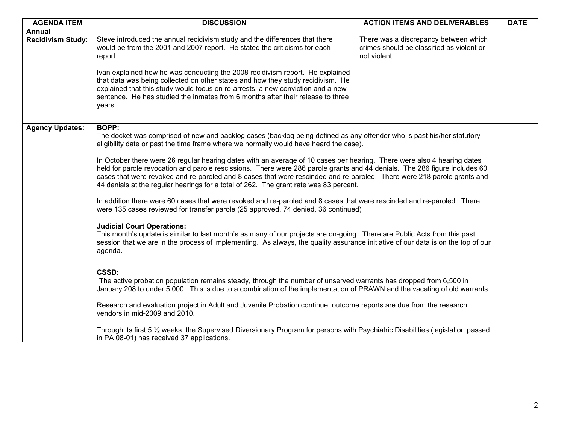| <b>AGENDA ITEM</b>                 | <b>DISCUSSION</b>                                                                                                                                                                                                                                                                                                                                                                                                                                                                                                                                                                                                                                                                                                                                                                                                                                                                                                            | <b>ACTION ITEMS AND DELIVERABLES</b>                                                               | <b>DATE</b> |  |
|------------------------------------|------------------------------------------------------------------------------------------------------------------------------------------------------------------------------------------------------------------------------------------------------------------------------------------------------------------------------------------------------------------------------------------------------------------------------------------------------------------------------------------------------------------------------------------------------------------------------------------------------------------------------------------------------------------------------------------------------------------------------------------------------------------------------------------------------------------------------------------------------------------------------------------------------------------------------|----------------------------------------------------------------------------------------------------|-------------|--|
| Annual<br><b>Recidivism Study:</b> | Steve introduced the annual recidivism study and the differences that there<br>would be from the 2001 and 2007 report. He stated the criticisms for each<br>report.<br>Ivan explained how he was conducting the 2008 recidivism report. He explained<br>that data was being collected on other states and how they study recidivism. He<br>explained that this study would focus on re-arrests, a new conviction and a new<br>sentence. He has studied the inmates from 6 months after their release to three<br>years.                                                                                                                                                                                                                                                                                                                                                                                                      | There was a discrepancy between which<br>crimes should be classified as violent or<br>not violent. |             |  |
| <b>Agency Updates:</b>             | <b>BOPP:</b><br>The docket was comprised of new and backlog cases (backlog being defined as any offender who is past his/her statutory<br>eligibility date or past the time frame where we normally would have heard the case).<br>In October there were 26 regular hearing dates with an average of 10 cases per hearing. There were also 4 hearing dates<br>held for parole revocation and parole rescissions. There were 286 parole grants and 44 denials. The 286 figure includes 60<br>cases that were revoked and re-paroled and 8 cases that were rescinded and re-paroled. There were 218 parole grants and<br>44 denials at the regular hearings for a total of 262. The grant rate was 83 percent.<br>In addition there were 60 cases that were revoked and re-paroled and 8 cases that were rescinded and re-paroled. There<br>were 135 cases reviewed for transfer parole (25 approved, 74 denied, 36 continued) |                                                                                                    |             |  |
|                                    | <b>Judicial Court Operations:</b><br>This month's update is similar to last month's as many of our projects are on-going. There are Public Acts from this past<br>session that we are in the process of implementing. As always, the quality assurance initiative of our data is on the top of our<br>agenda.                                                                                                                                                                                                                                                                                                                                                                                                                                                                                                                                                                                                                |                                                                                                    |             |  |
|                                    | <b>CSSD:</b><br>The active probation population remains steady, through the number of unserved warrants has dropped from 6,500 in<br>January 208 to under 5,000. This is due to a combination of the implementation of PRAWN and the vacating of old warrants.<br>Research and evaluation project in Adult and Juvenile Probation continue; outcome reports are due from the research<br>vendors in mid-2009 and 2010.<br>Through its first 5 1/2 weeks, the Supervised Diversionary Program for persons with Psychiatric Disabilities (legislation passed<br>in PA 08-01) has received 37 applications.                                                                                                                                                                                                                                                                                                                     |                                                                                                    |             |  |